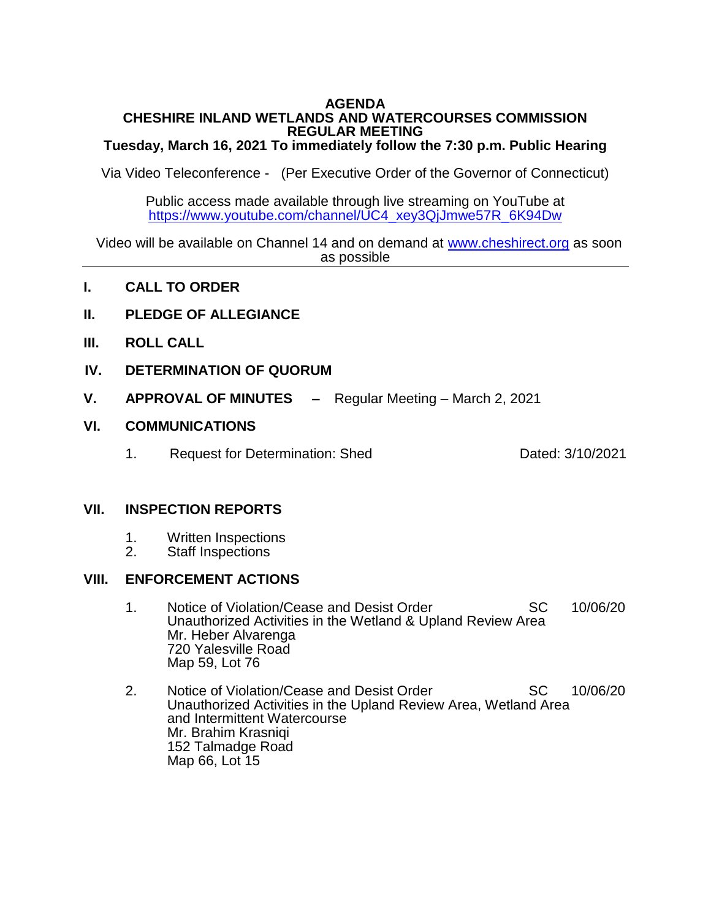## **AGENDA CHESHIRE INLAND WETLANDS AND WATERCOURSES COMMISSION REGULAR MEETING**

# **Tuesday, March 16, 2021 To immediately follow the 7:30 p.m. Public Hearing**

Via Video Teleconference - (Per Executive Order of the Governor of Connecticut)

Public access made available through live streaming on YouTube at [https://www.youtube.com/channel/UC4\\_xey3QjJmwe57R\\_6K94Dw](https://www.youtube.com/channel/UC4_xey3QjJmwe57R_6K94Dw)

 Video will be available on Channel 14 and on demand at [www.cheshirect.org](http://www.cheshirect.org/) as soon as possible

- **I. CALL TO ORDER**
- **II. PLEDGE OF ALLEGIANCE**
- **III. ROLL CALL**
- **IV. DETERMINATION OF QUORUM**
- **V. APPROVAL OF MINUTES –** Regular Meeting March 2, 2021

## **VI. COMMUNICATIONS**

1. Request for Determination: Shed Dated: 3/10/2021

## **VII. INSPECTION REPORTS**

- 1. Written Inspections<br>2. Staff Inspections
- Staff Inspections

# **VIII. ENFORCEMENT ACTIONS**

- 1. Notice of Violation/Cease and Desist Order SC 10/06/20 Unauthorized Activities in the Wetland & Upland Review Area Mr. Heber Alvarenga 720 Yalesville Road Map 59, Lot 76
- 2. Notice of Violation/Cease and Desist Order SC 10/06/20 Unauthorized Activities in the Upland Review Area, Wetland Area and Intermittent Watercourse Mr. Brahim Krasniqi 152 Talmadge Road Map 66, Lot 15